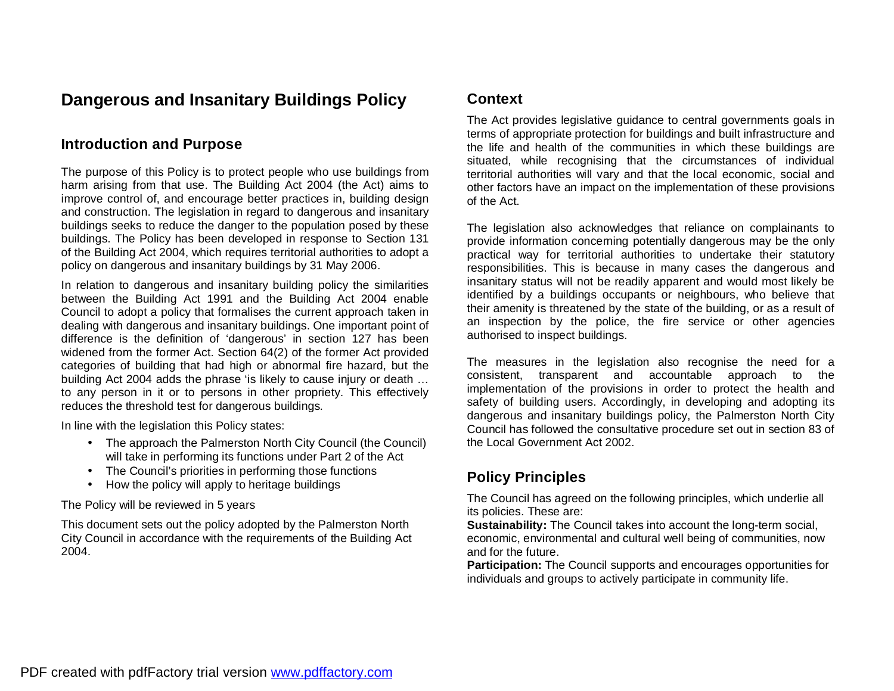# **Dangerous and Insanitary Buildings Policy**

### **Introduction and Purpose**

The purpose of this Policy is to protect people who use buildings from harm arising from that use. The Building Act 2004 (the Act) aims to improve control of, and encourage better practices in, building design and construction. The legislation in regard to dangerous and insanitary buildings seeks to reduce the danger to the population posed by these buildings. The Policy has been developed in response to Section 131 of the Building Act 2004, which requires territorial authorities to adopt a policy on dangerous and insanitary buildings by 31 May 2006.

In relation to dangerous and insanitary building policy the similarities between the Building Act 1991 and the Building Act 2004 enable Council to adopt a policy that formalises the current approach taken in dealing with dangerous and insanitary buildings. One important point of difference is the definition of 'dangerous' in section 127 has been widened from the former Act. Section 64(2) of the former Act provided categories of building that had high or abnormal fire hazard, but the building Act 2004 adds the phrase 'is likely to cause injury or death … to any person in it or to persons in other propriety. This effectively reduces the threshold test for dangerous buildings.

In line with the legislation this Policy states:

- The approach the Palmerston North City Council (the Council) will take in performing its functions under Part 2 of the Act
- The Council's priorities in performing those functions
- How the policy will apply to heritage buildings

The Policy will be reviewed in 5 years

This document sets out the policy adopted by the Palmerston North City Council in accordance with the requirements of the Building Act 2004.

#### **Context**

The Act provides legislative guidance to central governments goals in terms of appropriate protection for buildings and built infrastructure and the life and health of the communities in which these buildings are situated, while recognising that the circumstances of individual territorial authorities will vary and that the local economic, social and other factors have an impact on the implementation of these provisions of the Act.

The legislation also acknowledges that reliance on complainants to provide information concerning potentially dangerous may be the only practical way for territorial authorities to undertake their statutory responsibilities. This is because in many cases the dangerous and insanitary status will not be readily apparent and would most likely be identified by a buildings occupants or neighbours, who believe that their amenity is threatened by the state of the building, or as a result of an inspection by the police, the fire service or other agencies authorised to inspect buildings.

The measures in the legislation also recognise the need for a consistent, transparent and accountable approach to the implementation of the provisions in order to protect the health and safety of building users. Accordingly, in developing and adopting its dangerous and insanitary buildings policy, the Palmerston North City Council has followed the consultative procedure set out in section 83 of the Local Government Act 2002.

# **Policy Principles**

The Council has agreed on the following principles, which underlie all its policies. These are:

**Sustainability:** The Council takes into account the long-term social, economic, environmental and cultural well being of communities, now and for the future.

**Participation:** The Council supports and encourages opportunities for individuals and groups to actively participate in community life.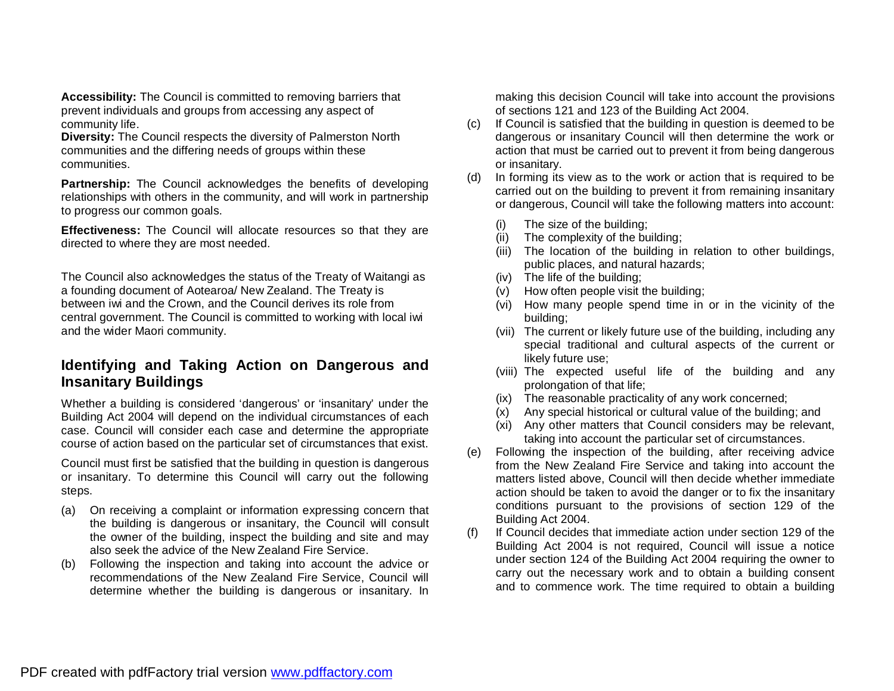**Accessibility:** The Council is committed to removing barriers that prevent individuals and groups from accessing any aspect of community life.

**Diversity:** The Council respects the diversity of Palmerston North communities and the differing needs of groups within these communities.

**Partnership:** The Council acknowledges the benefits of developing relationships with others in the community, and will work in partnership to progress our common goals.

**Effectiveness:** The Council will allocate resources so that they are directed to where they are most needed.

The Council also acknowledges the status of the Treaty of Waitangi as a founding document of Aotearoa/ New Zealand. The Treaty is between iwi and the Crown, and the Council derives its role from central government. The Council is committed to working with local iwi and the wider Maori community.

# **Identifying and Taking Action on Dangerous and Insanitary Buildings**

Whether a building is considered 'dangerous' or 'insanitary' under the Building Act 2004 will depend on the individual circumstances of each case. Council will consider each case and determine the appropriate course of action based on the particular set of circumstances that exist.

Council must first be satisfied that the building in question is dangerous or insanitary. To determine this Council will carry out the following steps.

- (a) On receiving a complaint or information expressing concern that the building is dangerous or insanitary, the Council will consult the owner of the building, inspect the building and site and may also seek the advice of the New Zealand Fire Service.
- (b) Following the inspection and taking into account the advice or recommendations of the New Zealand Fire Service, Council will determine whether the building is dangerous or insanitary. In

making this decision Council will take into account the provisions of sections 121 and 123 of the Building Act 2004.

- (c) If Council is satisfied that the building in question is deemed to be dangerous or insanitary Council will then determine the work or action that must be carried out to prevent it from being dangerous or insanitary.
- (d) In forming its view as to the work or action that is required to be carried out on the building to prevent it from remaining insanitary or dangerous, Council will take the following matters into account:
	- The size of the building:
	- (ii) The complexity of the building;
	- (iii) The location of the building in relation to other buildings, public places, and natural hazards;
	- (iv) The life of the building;
	- (v) How often people visit the building;
	- (vi) How many people spend time in or in the vicinity of the building;
	- (vii) The current or likely future use of the building, including any special traditional and cultural aspects of the current or likely future use;
	- (viii) The expected useful life of the building and any prolongation of that life;
	- (ix) The reasonable practicality of any work concerned;
	- (x) Any special historical or cultural value of the building; and
	- (xi) Any other matters that Council considers may be relevant, taking into account the particular set of circumstances.
- (e) Following the inspection of the building, after receiving advice from the New Zealand Fire Service and taking into account the matters listed above, Council will then decide whether immediate action should be taken to avoid the danger or to fix the insanitary conditions pursuant to the provisions of section 129 of the Building Act 2004.
- (f) If Council decides that immediate action under section 129 of the Building Act 2004 is not required, Council will issue a notice under section 124 of the Building Act 2004 requiring the owner to carry out the necessary work and to obtain a building consent and to commence work. The time required to obtain a building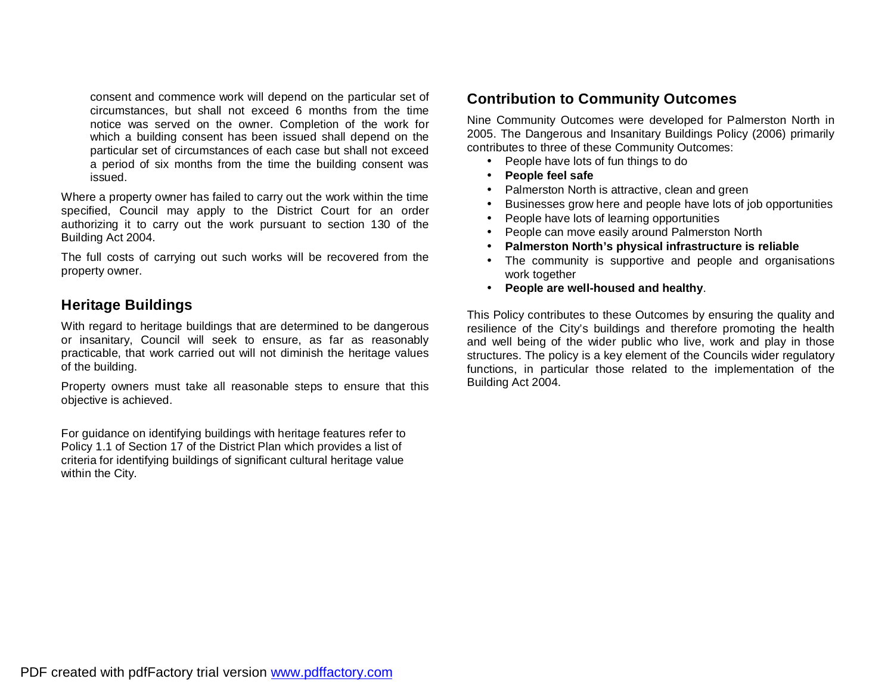consent and commence work will depend on the particular set of circumstances, but shall not exceed 6 months from the time notice was served on the owner. Completion of the work for which a building consent has been issued shall depend on the particular set of circumstances of each case but shall not exceed a period of six months from the time the building consent was issued.

Where a property owner has failed to carry out the work within the time specified, Council may apply to the District Court for an order authorizing it to carry out the work pursuant to section 130 of the Building Act 2004.

The full costs of carrying out such works will be recovered from the property owner.

### **Heritage Buildings**

With regard to heritage buildings that are determined to be dangerous or insanitary, Council will seek to ensure, as far as reasonably practicable, that work carried out will not diminish the heritage values of the building.

Property owners must take all reasonable steps to ensure that this objective is achieved.

For guidance on identifying buildings with heritage features refer to Policy 1.1 of Section 17 of the District Plan which provides a list of criteria for identifying buildings of significant cultural heritage value within the City.

#### **Contribution to Community Outcomes**

Nine Community Outcomes were developed for Palmerston North in 2005. The Dangerous and Insanitary Buildings Policy (2006) primarily contributes to three of these Community Outcomes:

- People have lots of fun things to do
- **People feel safe**
- Palmerston North is attractive, clean and green
- Businesses grow here and people have lots of job opportunities
- People have lots of learning opportunities
- People can move easily around Palmerston North
- **Palmerston North's physical infrastructure is reliable**
- The community is supportive and people and organisations work together
- **People are well-housed and healthy**.

This Policy contributes to these Outcomes by ensuring the quality and resilience of the City's buildings and therefore promoting the health and well being of the wider public who live, work and play in those structures. The policy is a key element of the Councils wider regulatory functions, in particular those related to the implementation of the Building Act 2004.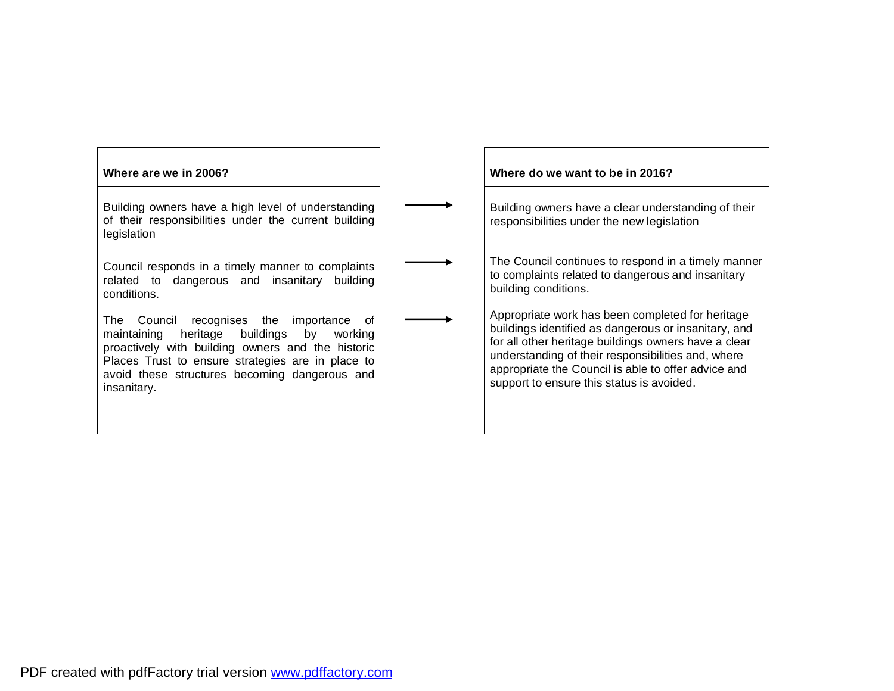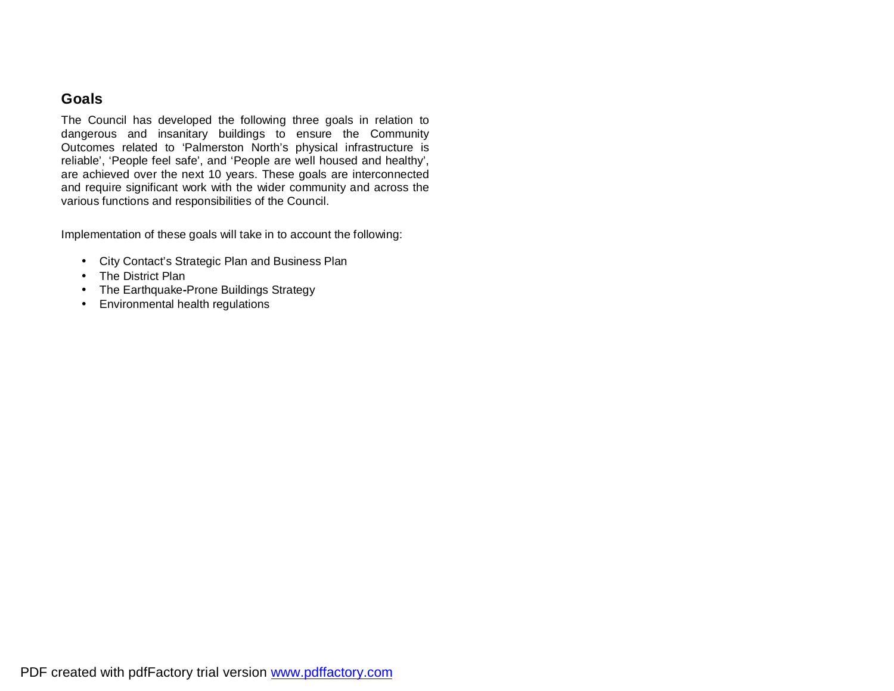#### **Goals**

The Council has developed the following three goals in relation to dangerous and insanitary buildings to ensure the Community Outcomes related to 'Palmerston North's physical infrastructure is reliable', 'People feel safe', and 'People are well housed and healthy', are achieved over the next 10 years. These goals are interconnected and require significant work with the wider community and across the various functions and responsibilities of the Council.

Implementation of these goals will take in to account the following:

- City Contact's Strategic Plan and Business Plan
- The District Plan
- The Earthquake**-**Prone Buildings Strategy
- Environmental health regulations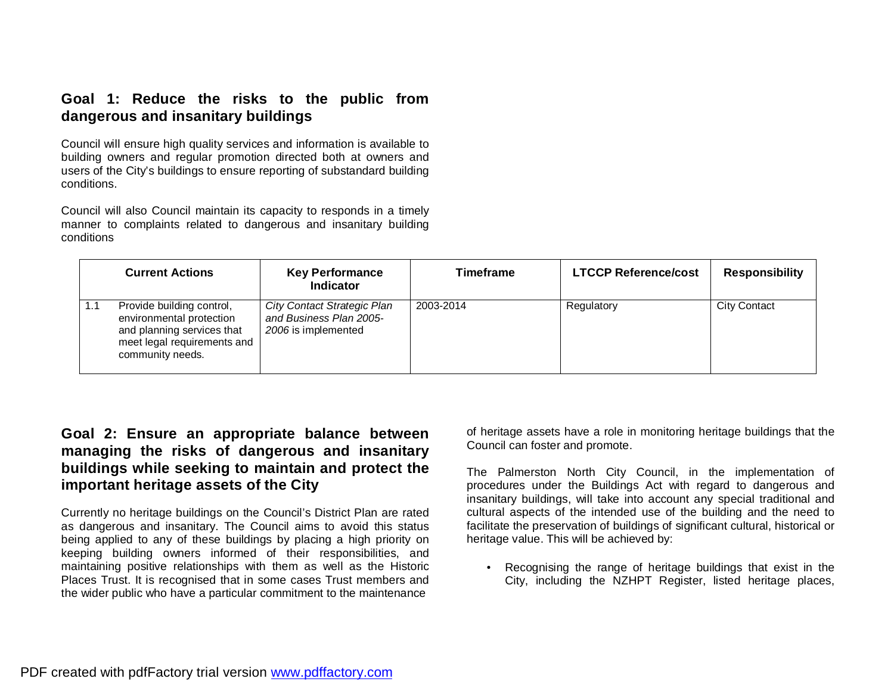## **Goal 1: Reduce the risks to the public from dangerous and insanitary buildings**

Council will ensure high quality services and information is available to building owners and regular promotion directed both at owners and users of the City's buildings to ensure reporting of substandard building conditions.

Council will also Council maintain its capacity to responds in a timely manner to complaints related to dangerous and insanitary building conditions

|     | <b>Current Actions</b>                                                                                                                 | <b>Key Performance</b><br>Indicator                                           | Timeframe | <b>LTCCP Reference/cost</b> | <b>Responsibility</b> |
|-----|----------------------------------------------------------------------------------------------------------------------------------------|-------------------------------------------------------------------------------|-----------|-----------------------------|-----------------------|
| 1.1 | Provide building control,<br>environmental protection<br>and planning services that<br>meet legal requirements and<br>community needs. | City Contact Strategic Plan<br>and Business Plan 2005-<br>2006 is implemented | 2003-2014 | Regulatory                  | <b>City Contact</b>   |

### **Goal 2: Ensure an appropriate balance between managing the risks of dangerous and insanitary buildings while seeking to maintain and protect the important heritage assets of the City**

Currently no heritage buildings on the Council's District Plan are rated as dangerous and insanitary. The Council aims to avoid this status being applied to any of these buildings by placing a high priority on keeping building owners informed of their responsibilities, and maintaining positive relationships with them as well as the Historic Places Trust. It is recognised that in some cases Trust members and the wider public who have a particular commitment to the maintenance

of heritage assets have a role in monitoring heritage buildings that the Council can foster and promote.

The Palmerston North City Council, in the implementation of procedures under the Buildings Act with regard to dangerous and insanitary buildings, will take into account any special traditional and cultural aspects of the intended use of the building and the need to facilitate the preservation of buildings of significant cultural, historical or heritage value. This will be achieved by:

• Recognising the range of heritage buildings that exist in the City, including the NZHPT Register, listed heritage places,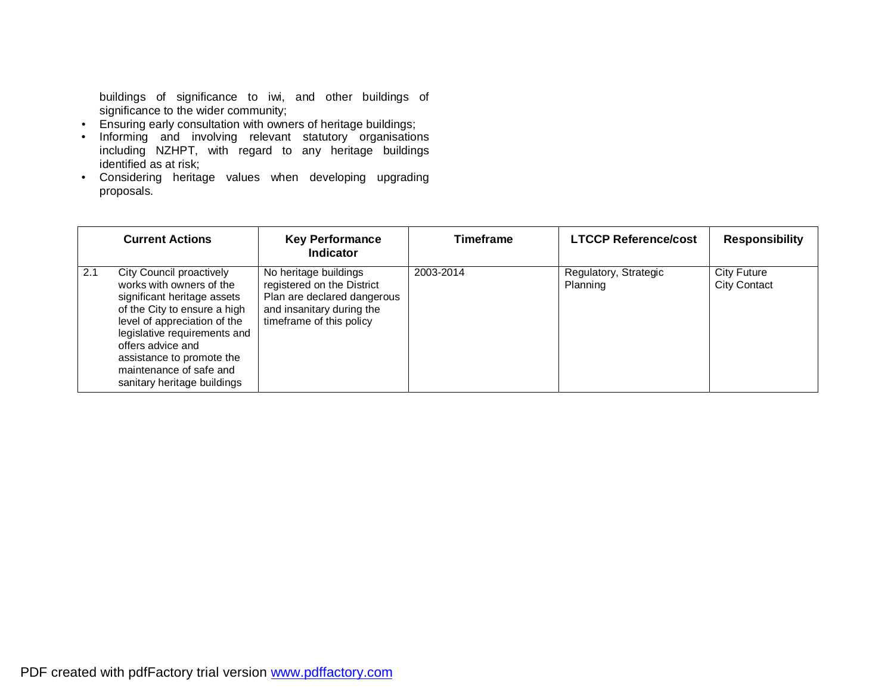buildings of significance to iwi, and other buildings of significance to the wider community;

- Ensuring early consultation with owners of heritage buildings;
- Informing and involving relevant statutory organisations including NZHPT, with regard to any heritage buildings identified as at risk;
- Considering heritage values when developing upgrading proposals.

|     | <b>Current Actions</b>                                                                                                                                                                                                                                                                          | <b>Key Performance</b><br><b>Indicator</b>                                                                                                  | Timeframe | <b>LTCCP Reference/cost</b>       | <b>Responsibility</b>                     |
|-----|-------------------------------------------------------------------------------------------------------------------------------------------------------------------------------------------------------------------------------------------------------------------------------------------------|---------------------------------------------------------------------------------------------------------------------------------------------|-----------|-----------------------------------|-------------------------------------------|
| 2.1 | City Council proactively<br>works with owners of the<br>significant heritage assets<br>of the City to ensure a high<br>level of appreciation of the<br>legislative requirements and<br>offers advice and<br>assistance to promote the<br>maintenance of safe and<br>sanitary heritage buildings | No heritage buildings<br>registered on the District<br>Plan are declared dangerous<br>and insanitary during the<br>timeframe of this policy | 2003-2014 | Regulatory, Strategic<br>Planning | <b>City Future</b><br><b>City Contact</b> |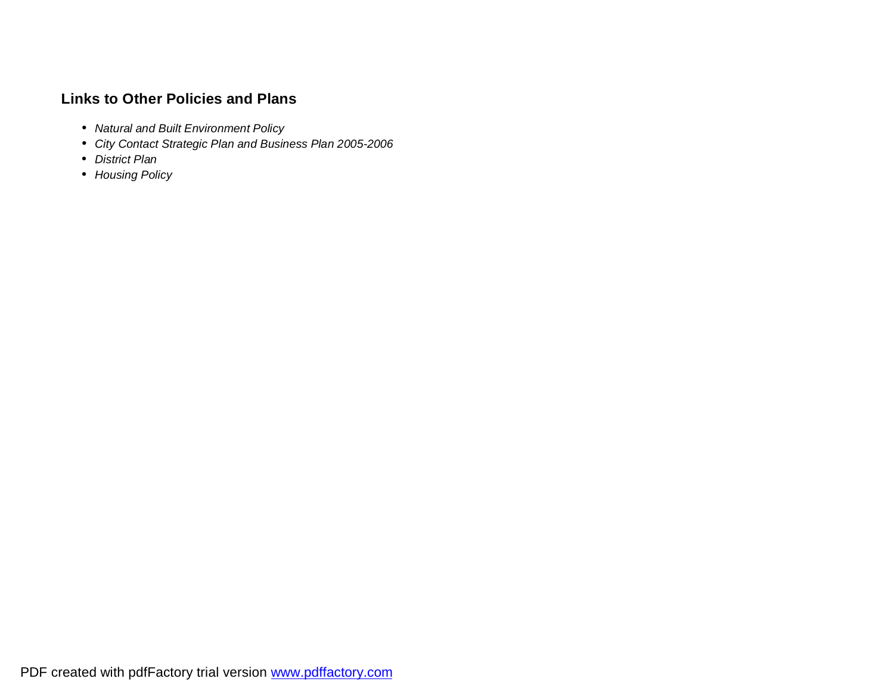# **Links to Other Policies and Plans**

- *Natural and Built Environment Policy*
- *City Contact Strategic Plan and Business Plan 2005-2006*
- *District Plan*
- *Housing Policy*